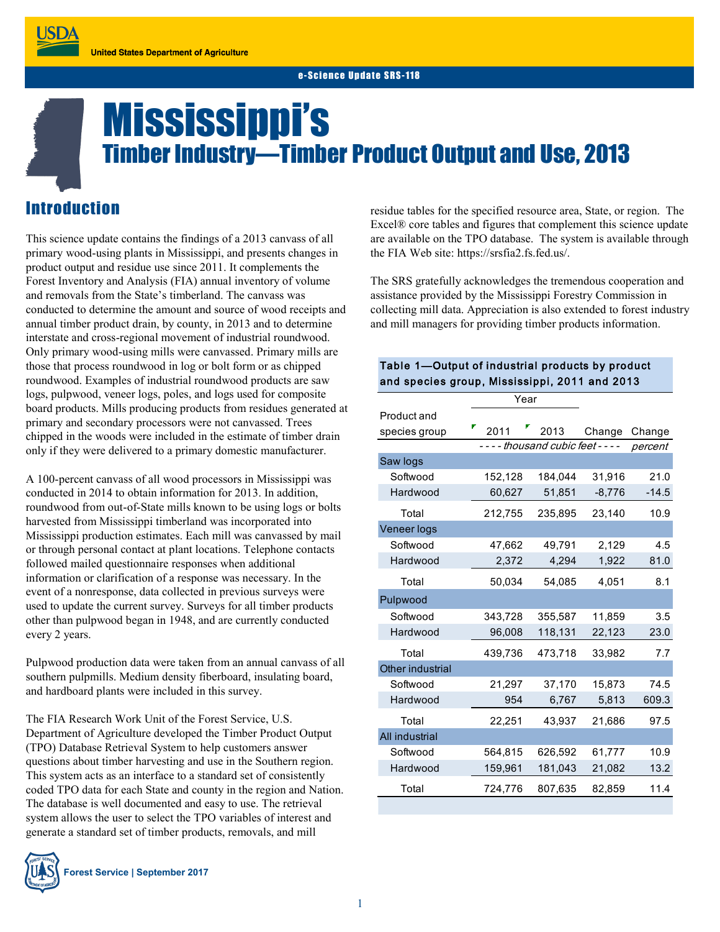# Mississippi's Timber Industry—Timber Product Output and Use, 2013

## Introduction

This science update contains the findings of a 2013 canvass of all primary wood-using plants in Mississippi, and presents changes in product output and residue use since 2011. It complements the Forest Inventory and Analysis (FIA) annual inventory of volume and removals from the State's timberland. The canvass was conducted to determine the amount and source of wood receipts and annual timber product drain, by county, in 2013 and to determine interstate and cross-regional movement of industrial roundwood. Only primary wood-using mills were canvassed. Primary mills are those that process roundwood in log or bolt form or as chipped roundwood. Examples of industrial roundwood products are saw logs, pulpwood, veneer logs, poles, and logs used for composite board products. Mills producing products from residues generated at primary and secondary processors were not canvassed. Trees chipped in the woods were included in the estimate of timber drain only if they were delivered to a primary domestic manufacturer.

A 100-percent canvass of all wood processors in Mississippi was conducted in 2014 to obtain information for 2013. In addition, roundwood from out-of-State mills known to be using logs or bolts harvested from Mississippi timberland was incorporated into Mississippi production estimates. Each mill was canvassed by mail or through personal contact at plant locations. Telephone contacts followed mailed questionnaire responses when additional information or clarification of a response was necessary. In the event of a nonresponse, data collected in previous surveys were used to update the current survey. Surveys for all timber products other than pulpwood began in 1948, and are currently conducted every 2 years.

Pulpwood production data were taken from an annual canvass of all southern pulpmills. Medium density fiberboard, insulating board, and hardboard plants were included in this survey.

The FIA Research Work Unit of the Forest Service, U.S. Department of Agriculture developed the Timber Product Output (TPO) Database Retrieval System to help customers answer questions about timber harvesting and use in the Southern region. This system acts as an interface to a standard set of consistently coded TPO data for each State and county in the region and Nation. The database is well documented and easy to use. The retrieval system allows the user to select the TPO variables of interest and generate a standard set of timber products, removals, and mill



residue tables for the specified resource area, State, or region. The Excel® core tables and figures that complement this science update are available on the TPO database. The system is available through the FIA Web site: https://srsfia2.fs.fed.us/.

The SRS gratefully acknowledges the tremendous cooperation and assistance provided by the Mississippi Forestry Commission in collecting mill data. Appreciation is also extended to forest industry and mill managers for providing timber products information.

#### Table 1—Output of industrial products by product and species group, Mississippi, 2011 and 2013

|                  | Year                          |         |          |         |
|------------------|-------------------------------|---------|----------|---------|
| Product and      |                               |         |          |         |
| species group    | 2011                          | 2013    | Change   | Change  |
|                  | ---- thousand cubic feet ---- |         |          | percent |
| Saw logs         |                               |         |          |         |
| Softwood         | 152,128                       | 184,044 | 31,916   | 21.0    |
| Hardwood         | 60,627                        | 51,851  | $-8,776$ | $-14.5$ |
| Total            | 212,755                       | 235,895 | 23,140   | 10.9    |
| Veneer logs      |                               |         |          |         |
| Softwood         | 47,662                        | 49,791  | 2,129    | 4.5     |
| Hardwood         | 2,372                         | 4,294   | 1,922    | 81.0    |
| Total            | 50,034                        | 54,085  | 4,051    | 8.1     |
| Pulpwood         |                               |         |          |         |
| Softwood         | 343,728                       | 355,587 | 11,859   | 3.5     |
| Hardwood         | 96,008                        | 118,131 | 22,123   | 23.0    |
| Total            | 439,736                       | 473,718 | 33,982   | 7.7     |
| Other industrial |                               |         |          |         |
| Softwood         | 21,297                        | 37,170  | 15,873   | 74.5    |
| Hardwood         | 954                           | 6,767   | 5,813    | 609.3   |
| Total            | 22,251                        | 43,937  | 21,686   | 97.5    |
| All industrial   |                               |         |          |         |
| Softwood         | 564,815                       | 626,592 | 61,777   | 10.9    |
| Hardwood         | 159,961                       | 181,043 | 21,082   | 13.2    |
| Total            | 724,776                       | 807,635 | 82,859   | 11.4    |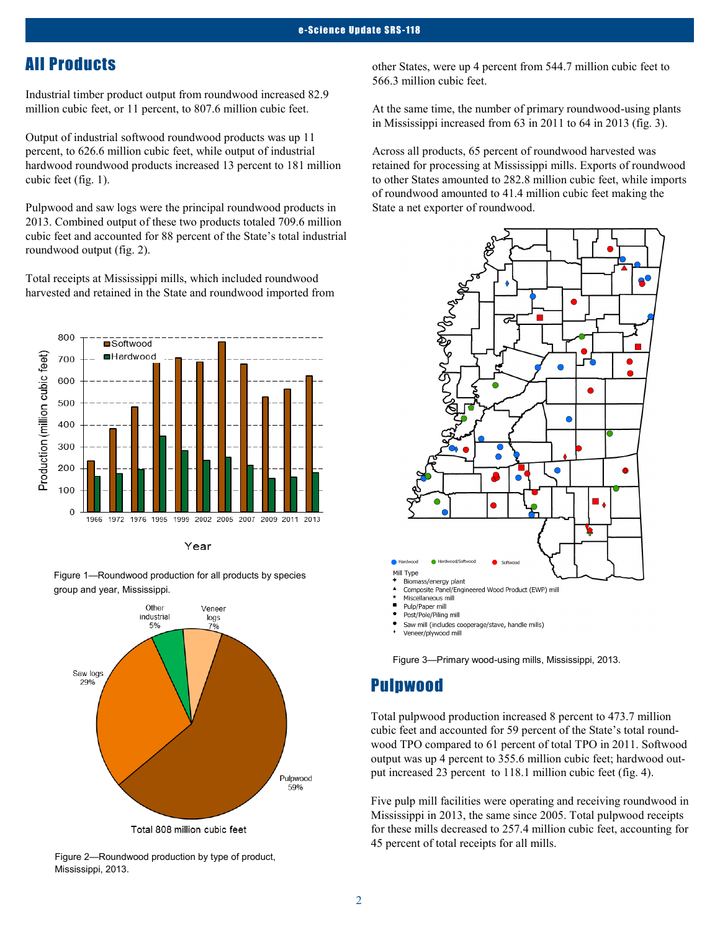## All Products

Industrial timber product output from roundwood increased 82.9 million cubic feet, or 11 percent, to 807.6 million cubic feet.

Output of industrial softwood roundwood products was up 11 percent, to 626.6 million cubic feet, while output of industrial hardwood roundwood products increased 13 percent to 181 million cubic feet (fig. 1).

Pulpwood and saw logs were the principal roundwood products in 2013. Combined output of these two products totaled 709.6 million cubic feet and accounted for 88 percent of the State's total industrial roundwood output (fig. 2).

Total receipts at Mississippi mills, which included roundwood harvested and retained in the State and roundwood imported from



Year

Figure 1—Roundwood production for all products by species group and year, Mississippi.





other States, were up 4 percent from 544.7 million cubic feet to 566.3 million cubic feet.

At the same time, the number of primary roundwood-using plants in Mississippi increased from 63 in 2011 to 64 in 2013 (fig. 3).

Across all products, 65 percent of roundwood harvested was retained for processing at Mississippi mills. Exports of roundwood to other States amounted to 282.8 million cubic feet, while imports of roundwood amounted to 41.4 million cubic feet making the State a net exporter of roundwood.



 $\blacktriangle$ Miscellaneous mill

÷

- Pulp/Paper mill
- Post/Pole/Piling mill

Saw mill (includes cooperage/stave, handle mills)

Veneer/plywood mill

Figure 3—Primary wood-using mills, Mississippi, 2013.

## Pulpwood

Total pulpwood production increased 8 percent to 473.7 million cubic feet and accounted for 59 percent of the State's total roundwood TPO compared to 61 percent of total TPO in 2011. Softwood output was up 4 percent to 355.6 million cubic feet; hardwood output increased 23 percent to 118.1 million cubic feet (fig. 4).

Five pulp mill facilities were operating and receiving roundwood in Mississippi in 2013, the same since 2005. Total pulpwood receipts for these mills decreased to 257.4 million cubic feet, accounting for 45 percent of total receipts for all mills.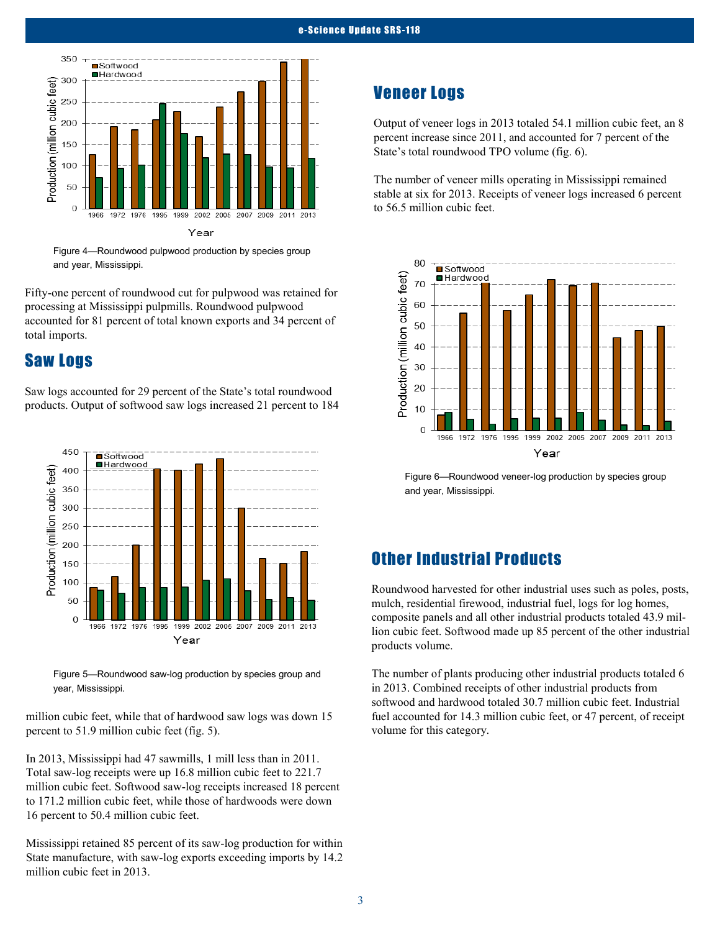

Figure 4—Roundwood pulpwood production by species group and year, Mississippi.

Fifty-one percent of roundwood cut for pulpwood was retained for processing at Mississippi pulpmills. Roundwood pulpwood accounted for 81 percent of total known exports and 34 percent of total imports.

### Saw Logs

Saw logs accounted for 29 percent of the State's total roundwood products. Output of softwood saw logs increased 21 percent to 184



Figure 5—Roundwood saw-log production by species group and year, Mississippi.

million cubic feet, while that of hardwood saw logs was down 15 percent to 51.9 million cubic feet (fig. 5).

In 2013, Mississippi had 47 sawmills, 1 mill less than in 2011. Total saw-log receipts were up 16.8 million cubic feet to 221.7 million cubic feet. Softwood saw-log receipts increased 18 percent to 171.2 million cubic feet, while those of hardwoods were down 16 percent to 50.4 million cubic feet.

Mississippi retained 85 percent of its saw-log production for within State manufacture, with saw-log exports exceeding imports by 14.2 million cubic feet in 2013.

## Veneer Logs

Output of veneer logs in 2013 totaled 54.1 million cubic feet, an 8 percent increase since 2011, and accounted for 7 percent of the State's total roundwood TPO volume (fig. 6).

The number of veneer mills operating in Mississippi remained stable at six for 2013. Receipts of veneer logs increased 6 percent to 56.5 million cubic feet.



Figure 6—Roundwood veneer-log production by species group and year, Mississippi.

## Other Industrial Products

Roundwood harvested for other industrial uses such as poles, posts, mulch, residential firewood, industrial fuel, logs for log homes, composite panels and all other industrial products totaled 43.9 million cubic feet. Softwood made up 85 percent of the other industrial products volume.

The number of plants producing other industrial products totaled 6 in 2013. Combined receipts of other industrial products from softwood and hardwood totaled 30.7 million cubic feet. Industrial fuel accounted for 14.3 million cubic feet, or 47 percent, of receipt volume for this category.